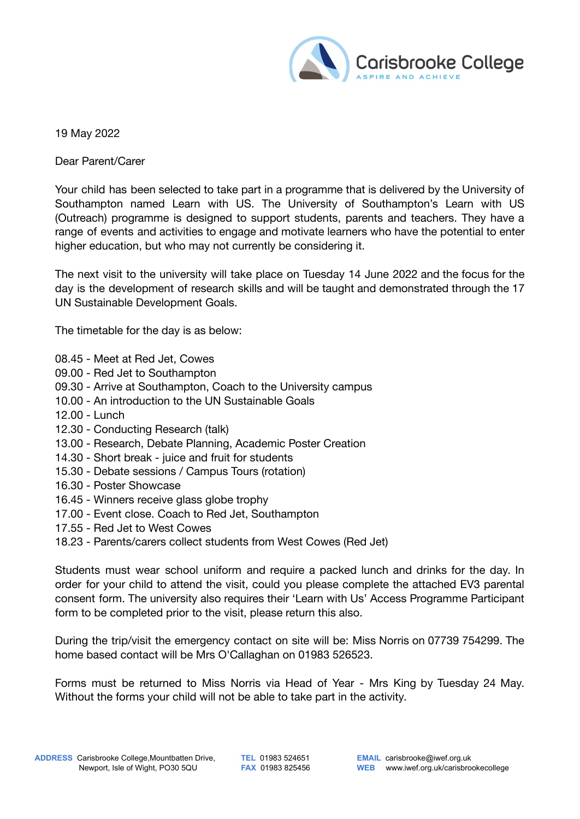

## 19 May 2022

Dear Parent/Carer

Your child has been selected to take part in a programme that is delivered by the University of Southampton named Learn with US. The University of Southampton's Learn with US (Outreach) programme is designed to support students, parents and teachers. They have a range of events and activities to engage and motivate learners who have the potential to enter higher education, but who may not currently be considering it.

The next visit to the university will take place on Tuesday 14 June 2022 and the focus for the day is the development of research skills and will be taught and demonstrated through the 17 UN Sustainable Development Goals.

The timetable for the day is as below:

- 08.45 Meet at Red Jet, Cowes
- 09.00 Red Jet to Southampton
- 09.30 Arrive at Southampton, Coach to the University campus
- 10.00 An introduction to the UN Sustainable Goals
- 12.00 Lunch
- 12.30 Conducting Research (talk)
- 13.00 Research, Debate Planning, Academic Poster Creation
- 14.30 Short break juice and fruit for students
- 15.30 Debate sessions / Campus Tours (rotation)
- 16.30 Poster Showcase
- 16.45 Winners receive glass globe trophy
- 17.00 Event close. Coach to Red Jet, Southampton
- 17.55 Red Jet to West Cowes
- 18.23 Parents/carers collect students from West Cowes (Red Jet)

Students must wear school uniform and require a packed lunch and drinks for the day. In order for your child to attend the visit, could you please complete the attached EV3 parental consent form. The university also requires their 'Learn with Us' Access Programme Participant form to be completed prior to the visit, please return this also.

During the trip/visit the emergency contact on site will be: Miss Norris on 07739 754299. The home based contact will be Mrs O'Callaghan on 01983 526523.

Forms must be returned to Miss Norris via Head of Year - Mrs King by Tuesday 24 May. Without the forms your child will not be able to take part in the activity.